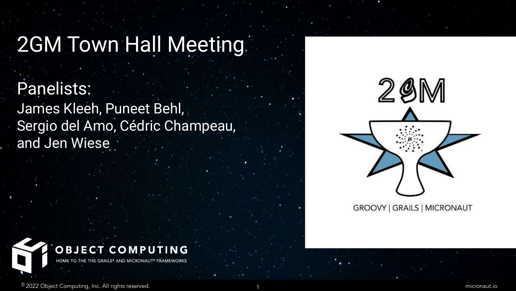#### 2GM Town Hall Meeting

Panelists: James Kleeh, Puneet Behl, Sergio del Amo, Cédric Champeau, and Jen Wiese



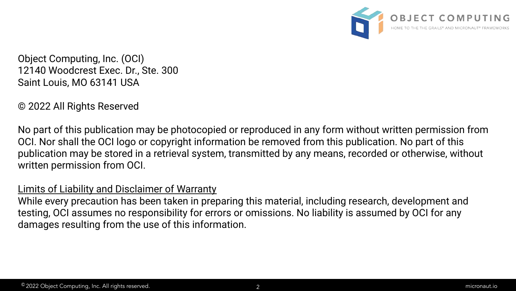

Object Computing, Inc. (OCI) 12140 Woodcrest Exec. Dr., Ste. 300 Saint Louis, MO 63141 USA

© 2022 All Rights Reserved

No part of this publication may be photocopied or reproduced in any form without written permission from OCI. Nor shall the OCI logo or copyright information be removed from this publication. No part of this publication may be stored in a retrieval system, transmitted by any means, recorded or otherwise, without written permission from OCI.

#### Limits of Liability and Disclaimer of Warranty

While every precaution has been taken in preparing this material, including research, development and testing, OCI assumes no responsibility for errors or omissions. No liability is assumed by OCI for any damages resulting from the use of this information.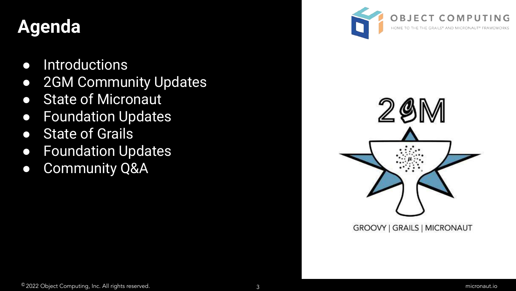#### **Agenda**

- Introductions
- 2GM Community Updates
- State of Micronaut
- Foundation Updates
- State of Grails
- Foundation Updates
- Community Q&A





**GROOVY | GRAILS | MICRONAUT**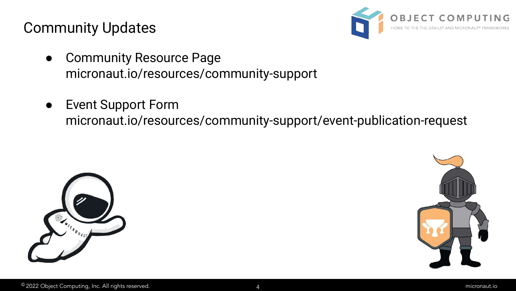#### Community Updates



- Community Resource Page micronaut.io/resources/community-support
- Event Support Form micronaut.io/resources/community-support/event-publication-request



![](_page_3_Picture_5.jpeg)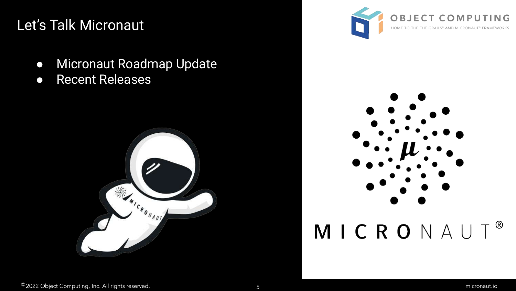#### Let's Talk Micronaut

- Micronaut Roadmap Update
- Recent Releases

![](_page_4_Picture_3.jpeg)

![](_page_4_Picture_4.jpeg)

![](_page_4_Picture_5.jpeg)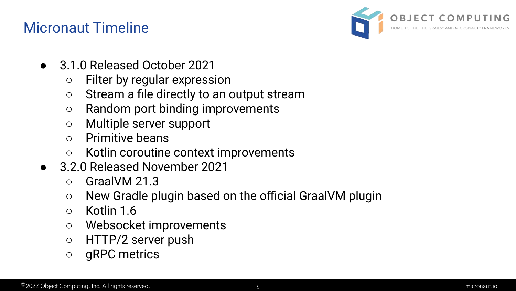#### Micronaut Timeline

![](_page_5_Picture_1.jpeg)

- 3.1.0 Released October 2021
	- Filter by regular expression
	- Stream a file directly to an output stream
	- Random port binding improvements
	- Multiple server support
	- Primitive beans
	- Kotlin coroutine context improvements
- 3.2.0 Released November 2021
	- $\circ$  GraalVM 21.3
	- New Gradle plugin based on the official GraalVM plugin
	- $\circ$  Kotlin 1.6
	- Websocket improvements
	- HTTP/2 server push
	- gRPC metrics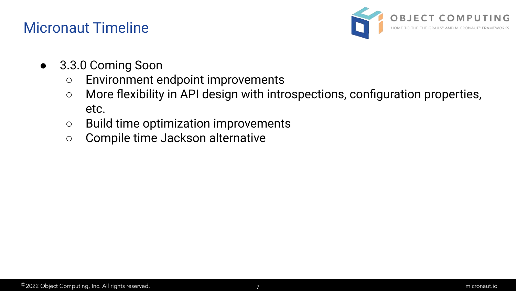#### Micronaut Timeline

![](_page_6_Picture_1.jpeg)

- 3.3.0 Coming Soon
	- Environment endpoint improvements
	- More flexibility in API design with introspections, configuration properties, etc.
	- Build time optimization improvements
	- Compile time Jackson alternative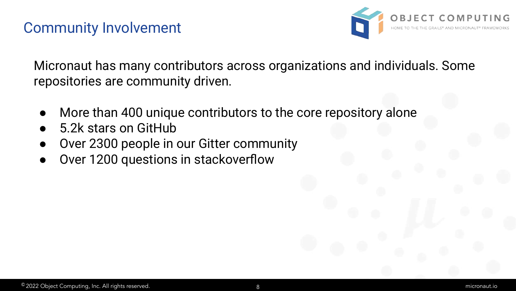#### Community Involvement

![](_page_7_Picture_1.jpeg)

Micronaut has many contributors across organizations and individuals. Some repositories are community driven.

- More than 400 unique contributors to the core repository alone
- 5.2k stars on GitHub
- Over 2300 people in our Gitter community
- Over 1200 questions in stackoverflow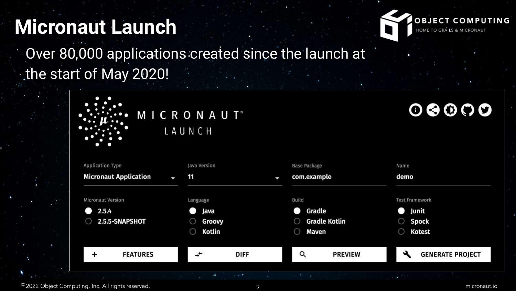#### **Micronaut Launch**

![](_page_8_Picture_1.jpeg)

Over 80,000 applications created since the launch at the start of May 2020!

![](_page_8_Figure_3.jpeg)

 $^{\circ}$  2022 Object Computing, Inc. All rights reserved.  $^{\circ}$   $^{\circ}$   $^{\circ}$   $^{\circ}$   $^{\circ}$   $^{\circ}$   $^{\circ}$  micronaut.ion micronaut.ion micronaut.ion micronaut.ion micronaut.ion micronaut.ion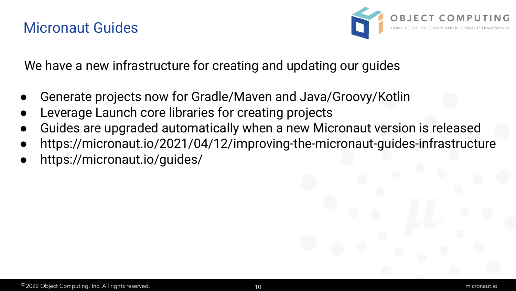#### Micronaut Guides

![](_page_9_Picture_1.jpeg)

We have a new infrastructure for creating and updating our guides

- Generate projects now for Gradle/Maven and Java/Groovy/Kotlin
- Leverage Launch core libraries for creating projects
- Guides are upgraded automatically when a new Micronaut version is released
- https://micronaut.io/2021/04/12/improving-the-micronaut-guides-infrastructure
- https://micronaut.io/guides/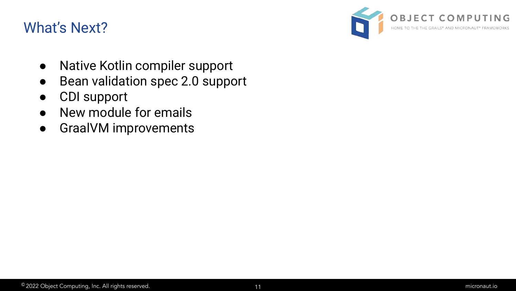#### What's Next?

![](_page_10_Picture_1.jpeg)

- Native Kotlin compiler support
- Bean validation spec 2.0 support
- CDI support
- New module for emails
- GraalVM improvements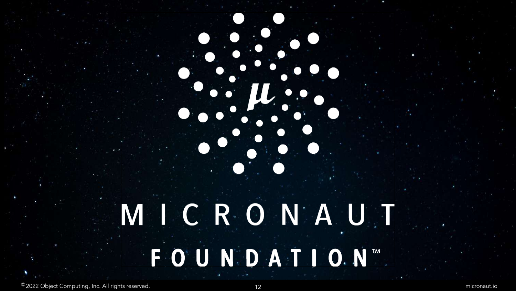### MICRONAUT FOUNDATION"

<sup>©</sup> 2022 Object Computing, Inc. All rights reserved.

12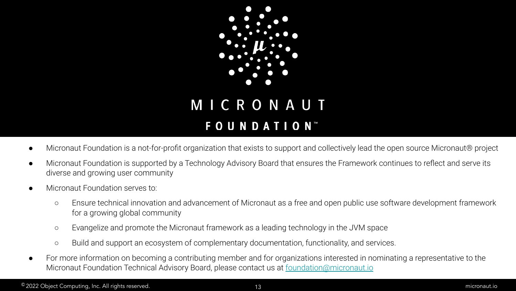![](_page_12_Figure_0.jpeg)

#### MICRONAUT **FOUNDATION**

- Micronaut Foundation is a not-for-profit organization that exists to support and collectively lead the open source Micronaut® project
- Micronaut Foundation is supported by a Technology Advisory Board that ensures the Framework continues to reflect and serve its diverse and growing user community
- Micronaut Foundation serves to:
	- Ensure technical innovation and advancement of Micronaut as a free and open public use software development framework for a growing global community
	- Evangelize and promote the Micronaut framework as a leading technology in the JVM space
	- Build and support an ecosystem of complementary documentation, functionality, and services.
- For more information on becoming a contributing member and for organizations interested in nominating a representative to the Micronaut Foundation Technical Advisory Board, please contact us at [foundation@micronaut.io](mailto:foundation@micronaut.io)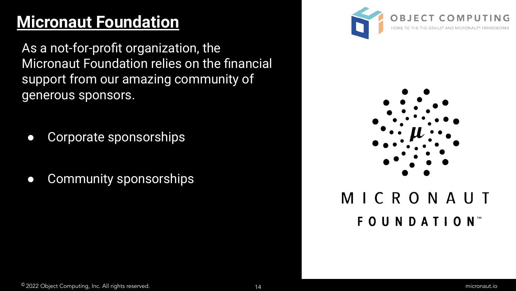#### **Micronaut Foundation**

As a not-for-profit organization, the Micronaut Foundation relies on the financial support from our amazing community of generous sponsors.

- Corporate sponsorships
- Community sponsorships

![](_page_13_Picture_4.jpeg)

![](_page_13_Picture_5.jpeg)

#### MICRONAUT FOUNDATION<sup>®</sup>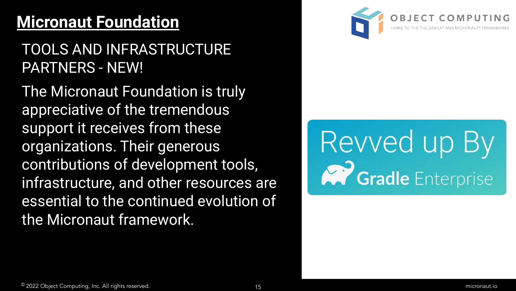#### **Micronaut Foundation**

TOOLS AND INFRASTRUCTURE PARTNERS - NEW!

The Micronaut Foundation is truly appreciative of the tremendous support it receives from these organizations. Their generous contributions of development tools, infrastructure, and other resources are essential to the continued evolution of the Micronaut framework.

![](_page_14_Picture_3.jpeg)

## Revved up By<br>Revale Enterprise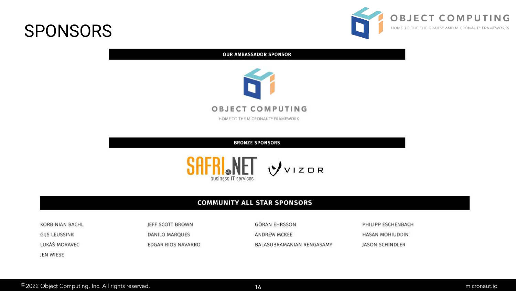#### **SPONSORS**

![](_page_15_Picture_1.jpeg)

**OUR AMBASSADOR SPONSOR** 

![](_page_15_Picture_3.jpeg)

**BRONZE SPONSORS** 

![](_page_15_Picture_5.jpeg)

#### **COMMUNITY ALL STAR SPONSORS**

| KORBINIAN BACHL      | JEFF SCOTT BROWN   | <b>GORAN EHRSSON</b>      | PHILIPP ESCHENBACH |
|----------------------|--------------------|---------------------------|--------------------|
| <b>GIJS LEUSSINK</b> | DANILO MARQUES     | ANDREW MCKEE              | HASAN MOHIUDDIN    |
| LUKÁŠ MORAVEC        | EDGAR RIOS NAVARRO | BALASUBRAMANIAN RENGASAMY | JASON SCHINDLER    |

JEN WIESE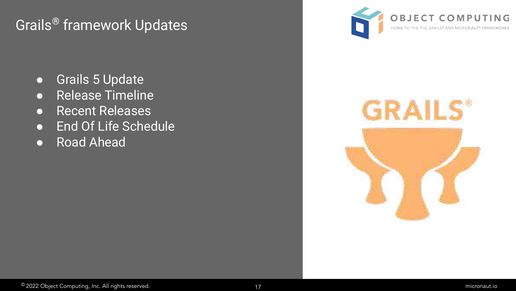#### Grails® framework Updates

- Grails 5 Update
- Release Timeline
- Recent Releases
- End Of Life Schedule
- Road Ahead

![](_page_16_Picture_6.jpeg)

![](_page_16_Picture_7.jpeg)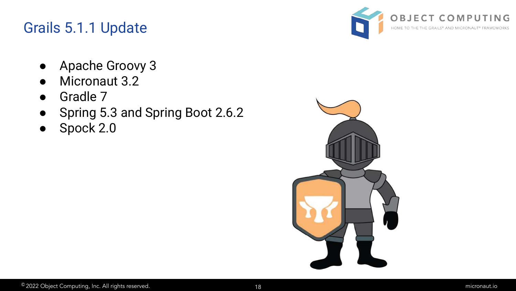#### Grails 5.1.1 Update

- Apache Groovy 3
- Micronaut 3.2
- Gradle 7
- Spring 5.3 and Spring Boot 2.6.2
- Spock 2.0

![](_page_17_Picture_6.jpeg)

![](_page_17_Picture_7.jpeg)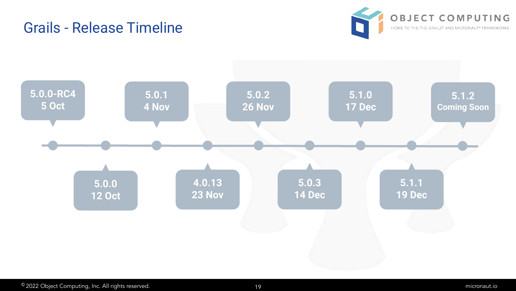#### Grails - Release Timeline

![](_page_18_Picture_1.jpeg)

![](_page_18_Figure_2.jpeg)

#### $^{\circ}$  2022 Object Computing, Inc. All rights reserved.  $^{\circ}$  19 micronaut.io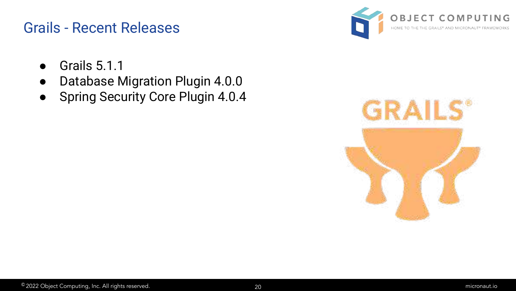#### Grails - Recent Releases

![](_page_19_Picture_1.jpeg)

- $\bullet$  Grails 5.1.1
- Database Migration Plugin 4.0.0
- **Spring Security Core Plugin 4.0.4**

![](_page_19_Picture_5.jpeg)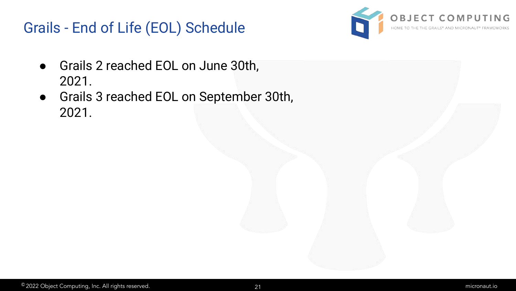Grails - End of Life (EOL) Schedule

![](_page_20_Picture_1.jpeg)

- Grails 2 reached EOL on June 30th, 2021.
- Grails 3 reached EOL on September 30th, 2021.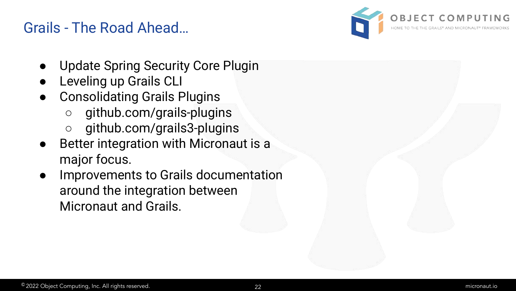#### Grails - The Road Ahead…

![](_page_21_Picture_1.jpeg)

- Update Spring Security Core Plugin
- Leveling up Grails CLI
- **Consolidating Grails Plugins** 
	- github.com/grails-plugins
	- github.com/grails3-plugins
- Better integration with Micronaut is a major focus.
- Improvements to Grails documentation around the integration between Micronaut and Grails.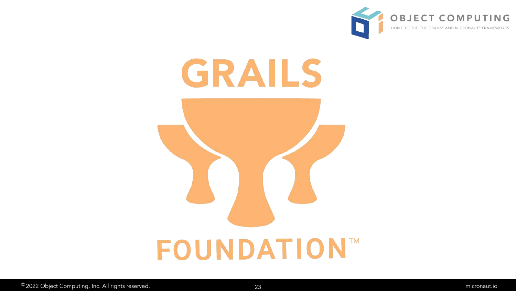![](_page_22_Picture_0.jpeg)

# **GRAILS FOUNDATION™**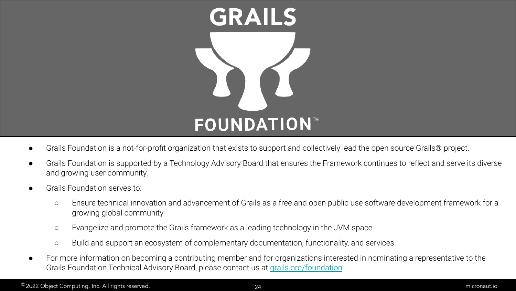![](_page_23_Picture_0.jpeg)

- Grails Foundation is a not-for-profit organization that exists to support and collectively lead the open source Grails® project.
- Grails Foundation is supported by a Technology Advisory Board that ensures the Framework continues to reflect and serve its diverse and growing user community.
- Grails Foundation serves to:
	- Ensure technical innovation and advancement of Grails as a free and open public use software development framework for a growing global community
	- Evangelize and promote the Grails framework as a leading technology in the JVM space
	- Build and support an ecosystem of complementary documentation, functionality, and services
- For more information on becoming a contributing member and for organizations interested in nominating a representative to the Grails Foundation Technical Advisory Board, please contact us at [grails.org/foundation.](https://grails.org/foundation/)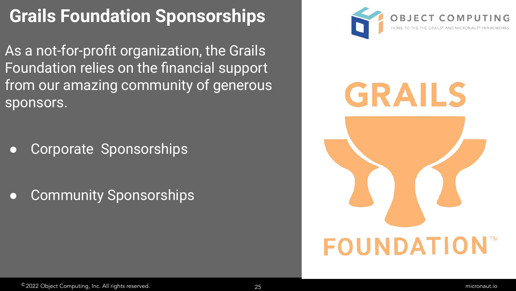#### **Grails Foundation Sponsorships**

As a not-for-profit organization, the Grails Foundation relies on the financial support from our amazing community of generous sponsors.

Corporate Sponsorships

● Community Sponsorships

![](_page_24_Picture_4.jpeg)

## **GRAILS FOUNDATION**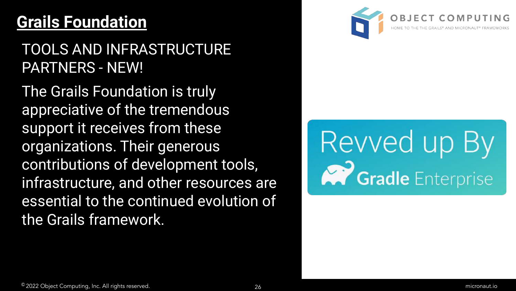#### **Grails Foundation**

TOOLS AND INFRASTRUCTURE PARTNERS - NEW!

The Grails Foundation is truly appreciative of the tremendous support it receives from these organizations. Their generous contributions of development tools, infrastructure, and other resources are essential to the continued evolution of the Grails framework.

![](_page_25_Picture_3.jpeg)

## Revved up By<br>Revale Enterprise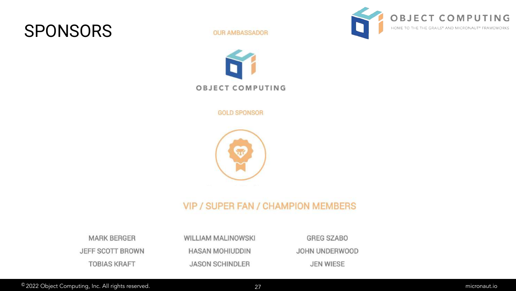#### **SPONSORS**

![](_page_26_Picture_1.jpeg)

**OUR AMBASSADOR** 

![](_page_26_Picture_3.jpeg)

**GOLD SPONSOR** 

![](_page_26_Picture_5.jpeg)

#### **VIP / SUPER FAN / CHAMPION MEMBERS**

**MARK BERGER** JEFF SCOTT BROWN **TOBIAS KRAFT** 

**WILLIAM MALINOWSKI HASAN MOHIUDDIN JASON SCHINDLER** 

**GREG SZABO** JOHN UNDERWOOD **JEN WIESE** 

<sup>©</sup> 2022 Object Computing, Inc. All rights reserved.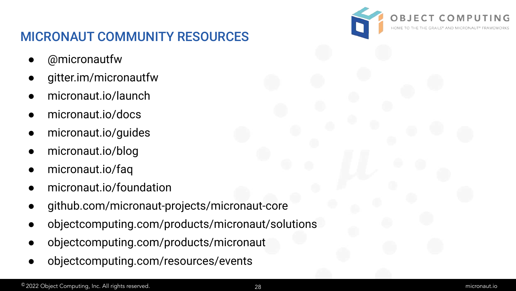![](_page_27_Picture_0.jpeg)

#### MICRONAUT COMMUNITY RESOURCES

- @micronautfw
- gitter.im/micronautfw
- micronaut.io/launch
- micronaut.io/docs
- micronaut.io/guides
- micronaut.io/blog
- micronaut.io/faq
- micronaut.io/foundation
- github.com/micronaut-projects/micronaut-core
- objectcomputing.com/products/micronaut/solutions
- objectcomputing.com/products/micronaut
- objectcomputing.com/resources/events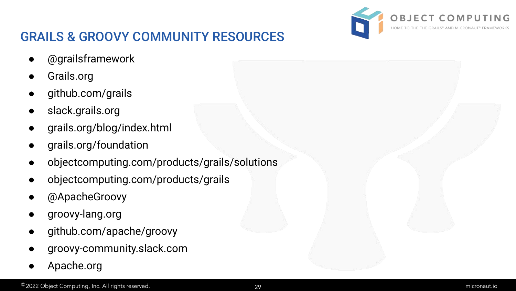![](_page_28_Picture_0.jpeg)

#### GRAILS & GROOVY COMMUNITY RESOURCES

- @grailsframework
- Grails.org
- github.com/grails
- slack.grails.org
- grails.org/blog/index.html
- grails.org/foundation
- objectcomputing.com/products/grails/solutions
- objectcomputing.com/products/grails
- @ApacheGroovy
- groovy-lang.org
- github.com/apache/groovy
- groovy-community.slack.com
- Apache.org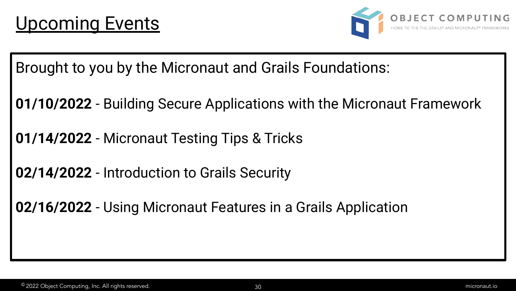![](_page_29_Picture_1.jpeg)

Brought to you by the Micronaut and Grails Foundations:

**01/10/2022** - Building Secure Applications with the Micronaut Framework

**01/14/2022** - Micronaut Testing Tips & Tricks

**02/14/2022** - Introduction to Grails Security

**02/16/2022** - Using Micronaut Features in a Grails Application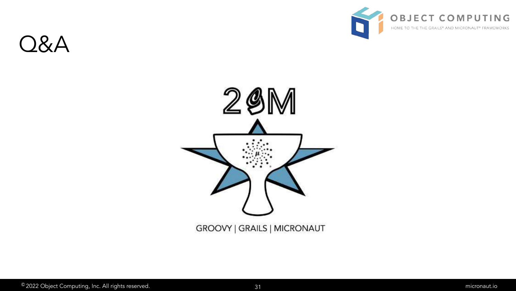![](_page_30_Picture_0.jpeg)

#### Q&A

![](_page_30_Picture_2.jpeg)

**GROOVY | GRAILS | MICRONAUT**